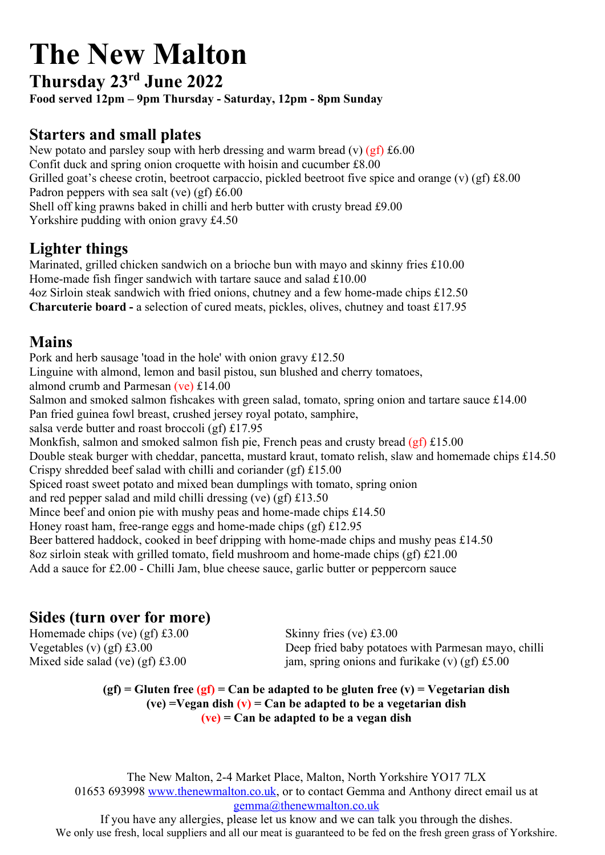# **The New Malton**

## **Thursday 23rd June 2022**

**Food served 12pm – 9pm Thursday - Saturday, 12pm - 8pm Sunday** 

## **Starters and small plates**

New potato and parsley soup with herb dressing and warm bread (v) (gf) £6.00 Confit duck and spring onion croquette with hoisin and cucumber £8.00 Grilled goat's cheese crotin, beetroot carpaccio, pickled beetroot five spice and orange (v) (gf) £8.00 Padron peppers with sea salt (ve) (gf) £6.00 Shell off king prawns baked in chilli and herb butter with crusty bread £9.00 Yorkshire pudding with onion gravy £4.50

## **Lighter things**

Marinated, grilled chicken sandwich on a brioche bun with mayo and skinny fries £10.00 Home-made fish finger sandwich with tartare sauce and salad £10.00 4oz Sirloin steak sandwich with fried onions, chutney and a few home-made chips £12.50 **Charcuterie board -** a selection of cured meats, pickles, olives, chutney and toast £17.95

#### **Mains**

Pork and herb sausage 'toad in the hole' with onion gravy £12.50

Linguine with almond, lemon and basil pistou, sun blushed and cherry tomatoes,

almond crumb and Parmesan (ve) £14.00

Salmon and smoked salmon fishcakes with green salad, tomato, spring onion and tartare sauce £14.00

Pan fried guinea fowl breast, crushed jersey royal potato, samphire,

salsa verde butter and roast broccoli (gf) £17.95

Monkfish, salmon and smoked salmon fish pie, French peas and crusty bread  $(gf)$  £15.00

Double steak burger with cheddar, pancetta, mustard kraut, tomato relish, slaw and homemade chips £14.50 Crispy shredded beef salad with chilli and coriander (gf) £15.00

Spiced roast sweet potato and mixed bean dumplings with tomato, spring onion

and red pepper salad and mild chilli dressing (ve) (gf) £13.50

Mince beef and onion pie with mushy peas and home-made chips £14.50

Honey roast ham, free-range eggs and home-made chips (gf) £12.95

Beer battered haddock, cooked in beef dripping with home-made chips and mushy peas £14.50

8oz sirloin steak with grilled tomato, field mushroom and home-made chips (gf) £21.00

Add a sauce for £2.00 - Chilli Jam, blue cheese sauce, garlic butter or peppercorn sauce

### **Sides (turn over for more)**

Homemade chips (ve) (gf)  $\text{\textsterling}3.00$  Skinny fries (ve)  $\text{\textsterling}3.00$ 

Vegetables (v) (gf) £3.00 Deep fried baby potatoes with Parmesan mayo, chilli Mixed side salad (ve) (gf)  $\pounds 3.00$  jam, spring onions and furikake (v) (gf)  $\pounds 5.00$ 

> **(gf) = Gluten free (gf) = Can be adapted to be gluten free (v) = Vegetarian dish (ve) =Vegan dish (v) = Can be adapted to be a vegetarian dish (ve) = Can be adapted to be a vegan dish**

The New Malton, 2-4 Market Place, Malton, North Yorkshire YO17 7LX 01653 693998 www.thenewmalton.co.uk, or to contact Gemma and Anthony direct email us at gemma@thenewmalton.co.uk

If you have any allergies, please let us know and we can talk you through the dishes. We only use fresh, local suppliers and all our meat is guaranteed to be fed on the fresh green grass of Yorkshire.